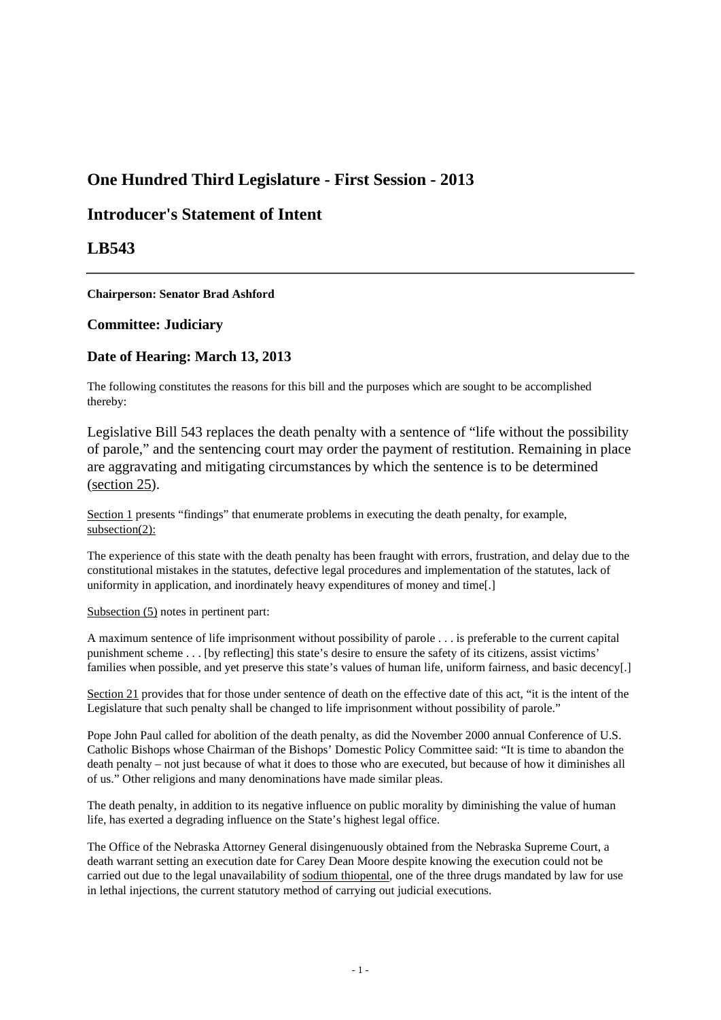# **One Hundred Third Legislature - First Session - 2013**

## **Introducer's Statement of Intent**

## **LB543**

**Chairperson: Senator Brad Ashford**

### **Committee: Judiciary**

### **Date of Hearing: March 13, 2013**

The following constitutes the reasons for this bill and the purposes which are sought to be accomplished thereby:

Legislative Bill 543 replaces the death penalty with a sentence of "life without the possibility of parole," and the sentencing court may order the payment of restitution. Remaining in place are aggravating and mitigating circumstances by which the sentence is to be determined (section 25).

Section 1 presents "findings" that enumerate problems in executing the death penalty, for example, subsection(2):

The experience of this state with the death penalty has been fraught with errors, frustration, and delay due to the constitutional mistakes in the statutes, defective legal procedures and implementation of the statutes, lack of uniformity in application, and inordinately heavy expenditures of money and time[.]

#### Subsection (5) notes in pertinent part:

A maximum sentence of life imprisonment without possibility of parole . . . is preferable to the current capital punishment scheme . . . [by reflecting] this state's desire to ensure the safety of its citizens, assist victims' families when possible, and yet preserve this state's values of human life, uniform fairness, and basic decency[.]

Section 21 provides that for those under sentence of death on the effective date of this act, "it is the intent of the Legislature that such penalty shall be changed to life imprisonment without possibility of parole."

Pope John Paul called for abolition of the death penalty, as did the November 2000 annual Conference of U.S. Catholic Bishops whose Chairman of the Bishops' Domestic Policy Committee said: "It is time to abandon the death penalty – not just because of what it does to those who are executed, but because of how it diminishes all of us." Other religions and many denominations have made similar pleas.

The death penalty, in addition to its negative influence on public morality by diminishing the value of human life, has exerted a degrading influence on the State's highest legal office.

The Office of the Nebraska Attorney General disingenuously obtained from the Nebraska Supreme Court, a death warrant setting an execution date for Carey Dean Moore despite knowing the execution could not be carried out due to the legal unavailability of sodium thiopental, one of the three drugs mandated by law for use in lethal injections, the current statutory method of carrying out judicial executions.